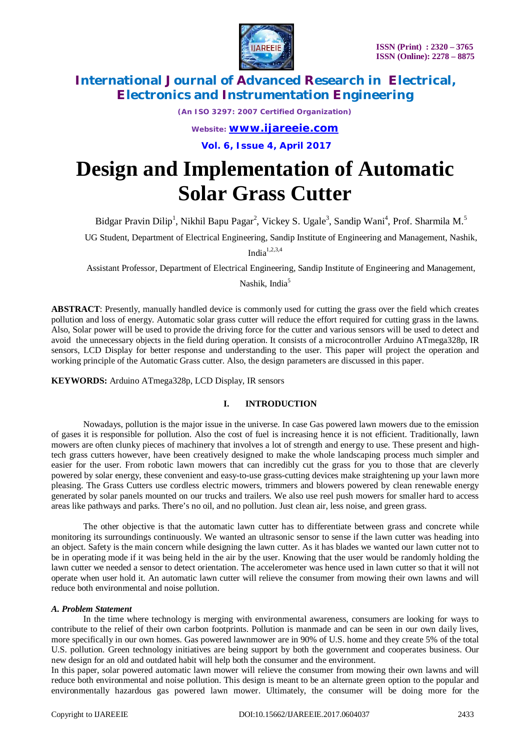

*(An ISO 3297: 2007 Certified Organization)*

*Website: [www.ijareeie.com](http://www.ijareeie.com)*

**Vol. 6, Issue 4, April 2017**

# **Design and Implementation of Automatic Solar Grass Cutter**

Bidgar Pravin Dilip<sup>1</sup>, Nikhil Bapu Pagar<sup>2</sup>, Vickey S. Ugale<sup>3</sup>, Sandip Wani<sup>4</sup>, Prof. Sharmila M.<sup>5</sup>

UG Student, Department of Electrical Engineering, Sandip Institute of Engineering and Management, Nashik,

India $1,2,3,4$ 

Assistant Professor, Department of Electrical Engineering, Sandip Institute of Engineering and Management,

Nashik, India<sup>5</sup>

**ABSTRACT**: Presently, manually handled device is commonly used for cutting the grass over the field which creates pollution and loss of energy. Automatic solar grass cutter will reduce the effort required for cutting grass in the lawns. Also, Solar power will be used to provide the driving force for the cutter and various sensors will be used to detect and avoid the unnecessary objects in the field during operation. It consists of a microcontroller Arduino ATmega328p, IR sensors, LCD Display for better response and understanding to the user. This paper will project the operation and working principle of the Automatic Grass cutter. Also, the design parameters are discussed in this paper.

**KEYWORDS:** Arduino ATmega328p, LCD Display, IR sensors

### **I. INTRODUCTION**

Nowadays, pollution is the major issue in the universe. In case Gas powered lawn mowers due to the emission of gases it is responsible for pollution. Also the cost of fuel is increasing hence it is not efficient. Traditionally, lawn mowers are often clunky pieces of machinery that involves a lot of strength and energy to use. These present and hightech grass cutters however, have been creatively designed to make the whole landscaping process much simpler and easier for the user. From robotic lawn mowers that can incredibly cut the grass for you to those that are cleverly powered by solar energy, these convenient and easy-to-use grass-cutting devices make straightening up your lawn more pleasing. The Grass Cutters use cordless electric mowers, trimmers and blowers powered by clean renewable energy generated by solar panels mounted on our trucks and trailers. We also use reel push mowers for smaller hard to access areas like pathways and parks. There's no oil, and no pollution. Just clean air, less noise, and green grass.

The other objective is that the automatic lawn cutter has to differentiate between grass and concrete while monitoring its surroundings continuously. We wanted an ultrasonic sensor to sense if the lawn cutter was heading into an object. Safety is the main concern while designing the lawn cutter. As it has blades we wanted our lawn cutter not to be in operating mode if it was being held in the air by the user. Knowing that the user would be randomly holding the lawn cutter we needed a sensor to detect orientation. The accelerometer was hence used in lawn cutter so that it will not operate when user hold it. An automatic lawn cutter will relieve the consumer from mowing their own lawns and will reduce both environmental and noise pollution.

#### *A. Problem Statement*

In the time where technology is merging with environmental awareness, consumers are looking for ways to contribute to the relief of their own carbon footprints. Pollution is manmade and can be seen in our own daily lives, more specifically in our own homes. Gas powered lawnmower are in 90% of U.S. home and they create 5% of the total U.S. pollution. Green technology initiatives are being support by both the government and cooperates business. Our new design for an old and outdated habit will help both the consumer and the environment.

In this paper, solar powered automatic lawn mower will relieve the consumer from mowing their own lawns and will reduce both environmental and noise pollution. This design is meant to be an alternate green option to the popular and environmentally hazardous gas powered lawn mower. Ultimately, the consumer will be doing more for the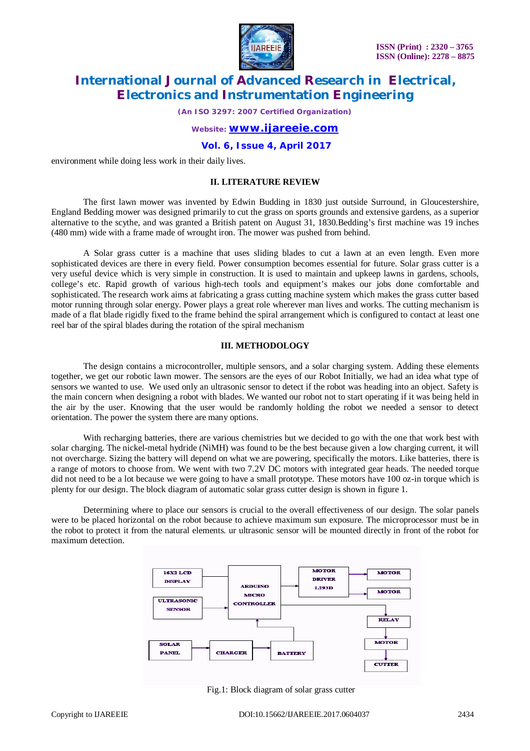

*(An ISO 3297: 2007 Certified Organization)*

## *Website: [www.ijareeie.com](http://www.ijareeie.com)*

**Vol. 6, Issue 4, April 2017**

environment while doing less work in their daily lives.

## **II. LITERATURE REVIEW**

The first lawn mower was invented by Edwin Budding in 1830 just outside Surround, in Gloucestershire, England Bedding mower was designed primarily to cut the grass on sports grounds and extensive gardens, as a superior alternative to the scythe, and was granted a British patent on August 31, 1830.Bedding's first machine was 19 inches (480 mm) wide with a frame made of wrought iron. The mower was pushed from behind.

A Solar grass cutter is a machine that uses sliding blades to cut a lawn at an even length. Even more sophisticated devices are there in every field. Power consumption becomes essential for future. Solar grass cutter is a very useful device which is very simple in construction. It is used to maintain and upkeep lawns in gardens, schools, college's etc. Rapid growth of various high-tech tools and equipment's makes our jobs done comfortable and sophisticated. The research work aims at fabricating a grass cutting machine system which makes the grass cutter based motor running through solar energy. Power plays a great role wherever man lives and works. The cutting mechanism is made of a flat blade rigidly fixed to the frame behind the spiral arrangement which is configured to contact at least one reel bar of the spiral blades during the rotation of the spiral mechanism

#### **III. METHODOLOGY**

The design contains a microcontroller, multiple sensors, and a solar charging system. Adding these elements together, we get our robotic lawn mower. The sensors are the eyes of our Robot Initially, we had an idea what type of sensors we wanted to use. We used only an ultrasonic sensor to detect if the robot was heading into an object. Safety is the main concern when designing a robot with blades. We wanted our robot not to start operating if it was being held in the air by the user. Knowing that the user would be randomly holding the robot we needed a sensor to detect orientation. The power the system there are many options.

With recharging batteries, there are various chemistries but we decided to go with the one that work best with solar charging. The nickel-metal hydride (NiMH) was found to be the best because given a low charging current, it will not overcharge. Sizing the battery will depend on what we are powering, specifically the motors. Like batteries, there is a range of motors to choose from. We went with two 7.2V DC motors with integrated gear heads. The needed torque did not need to be a lot because we were going to have a small prototype. These motors have 100 oz-in torque which is plenty for our design. The block diagram of automatic solar grass cutter design is shown in figure 1.

Determining where to place our sensors is crucial to the overall effectiveness of our design. The solar panels were to be placed horizontal on the robot because to achieve maximum sun exposure. The microprocessor must be in the robot to protect it from the natural elements. ur ultrasonic sensor will be mounted directly in front of the robot for maximum detection.



Fig.1: Block diagram of solar grass cutter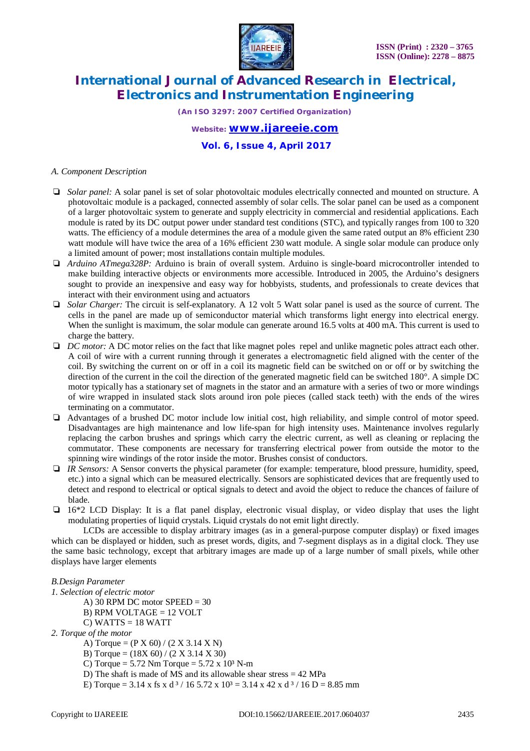

*(An ISO 3297: 2007 Certified Organization)*

## *Website: [www.ijareeie.com](http://www.ijareeie.com)*

**Vol. 6, Issue 4, April 2017**

#### *A. Component Description*

- ❏ *Solar panel:* A solar panel is set of solar photovoltaic modules electrically connected and mounted on structure. A photovoltaic module is a packaged, connected assembly of solar cells. The solar panel can be used as a component of a larger photovoltaic system to generate and supply electricity in commercial and residential applications. Each module is rated by its DC output power under standard test conditions (STC), and typically ranges from 100 to 320 watts. The efficiency of a module determines the area of a module given the same rated output an 8% efficient 230 watt module will have twice the area of a 16% efficient 230 watt module. A single solar module can produce only a limited amount of power; most installations contain multiple modules.
- ❏ *Arduino ATmega328P:* Arduino is brain of overall system. Arduino is single-board microcontroller intended to make building interactive objects or environments more accessible. Introduced in 2005, the Arduino's designers sought to provide an inexpensive and easy way for hobbyists, students, and professionals to create devices that interact with their environment using and actuators
- ❏ *Solar Charger:* The circuit is self-explanatory. A 12 volt 5 Watt solar panel is used as the source of current. The cells in the panel are made up of semiconductor material which transforms light energy into electrical energy. When the sunlight is maximum, the solar module can generate around 16.5 volts at 400 mA. This current is used to charge the battery.
- ❏ *DC motor:* A DC motor relies on the fact that like magnet poles repel and unlike magnetic poles attract each other. A coil of wire with a current running through it generates a electromagnetic field aligned with the center of the coil. By switching the current on or off in a coil its magnetic field can be switched on or off or by switching the direction of the current in the coil the direction of the generated magnetic field can be switched 180°. A simple DC motor typically has a stationary set of magnets in the stator and an armature with a series of two or more windings of wire wrapped in insulated stack slots around iron pole pieces (called stack teeth) with the ends of the wires terminating on a commutator.
- ❏ Advantages of a brushed DC motor include low initial cost, high reliability, and simple control of motor speed. Disadvantages are high maintenance and low life-span for high intensity uses. Maintenance involves regularly replacing the carbon brushes and springs which carry the electric current, as well as cleaning or replacing the commutator. These components are necessary for transferring electrical power from outside the motor to the spinning wire windings of the rotor inside the motor. Brushes consist of conductors.
- ❏ *IR Sensors:* A Sensor converts the physical parameter (for example: temperature, blood pressure, humidity, speed, etc.) into a signal which can be measured electrically. Sensors are sophisticated devices that are frequently used to detect and respond to electrical or optical signals to detect and avoid the object to reduce the chances of failure of blade.
- ❏ 16\*2 LCD Display: It is a flat panel display, electronic visual display, or video display that uses the light modulating properties of liquid crystals. Liquid crystals do not emit light directly.

LCDs are accessible to display arbitrary images (as in a general-purpose computer display) or fixed images which can be displayed or hidden, such as preset words, digits, and 7-segment displays as in a digital clock. They use the same basic technology, except that arbitrary images are made up of a large number of small pixels, while other displays have larger elements

# *B.Design Parameter*

- *1. Selection of electric motor*
	- A) 30 RPM DC motor  $SPEED = 30$
	- B) RPM VOLTAGE = 12 VOLT
	- $C)$  WATTS = 18 WATT
- *2. Torque of the motor*
	- A) Torque =  $(P X 60) / (2 X 3.14 X N)$
	- B) Torque =  $(18X 60) / (2 X 3.14 X 30)$
	- C) Torque =  $5.72$  Nm Torque =  $5.72$  x  $10<sup>3</sup>$  N-m
	- D) The shaft is made of MS and its allowable shear stress = 42 MPa
	- E) Torque =  $3.14 \times$  fs x d<sup>3</sup> / 16 5.72 x 10<sup>3</sup> =  $3.14 \times$  42 x d<sup>3</sup> / 16 D = 8.85 mm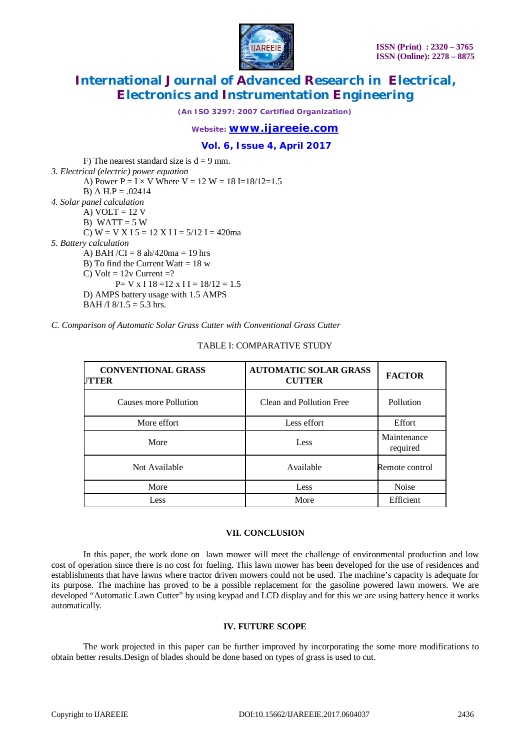

*(An ISO 3297: 2007 Certified Organization)*

# *Website: [www.ijareeie.com](http://www.ijareeie.com)*

**Vol. 6, Issue 4, April 2017**

F) The nearest standard size is  $d = 9$  mm. *3. Electrical (electric) power equation* A) Power  $P = I \times V$  Where  $V = 12 W = 18 I = 18/12 = 1.5$ B) A H.P =  $.02414$ *4. Solar panel calculation* A)  $VOLT = 12 V$ B) WATT =  $5 W$ C)  $W = V X I 5 = 12 X I I = 5/12 I = 420ma$ *5. Battery calculation* A) BAH/CI =  $8 \text{ ah}/420 \text{ma} = 19 \text{ hrs}$ B) To find the Current Watt  $= 18$  w C) Volt =  $12v$  Current =?  $P= V \times I 18 = 12 \times I I = 18/12 = 1.5$ D) AMPS battery usage with 1.5 AMPS BAH /I  $8/1.5 = 5.3$  hrs.

*C. Comparison of Automatic Solar Grass Cutter with Conventional Grass Cutter*

# **FACTOMATIC SOLAR GRASS FACTOR CUTTER CONVENTIONAL GRASS CUTTER** Causes more Pollution Clean and Pollution Free Pollution More effort **Less effort** Less effort **Less effort** Effort Maintenance More Less Less required Not Available **Available** Available **Remote control** More **Less** Noise

#### TABLE I: COMPARATIVE STUDY

#### **VII. CONCLUSION**

Less More More Efficient

In this paper, the work done on lawn mower will meet the challenge of environmental production and low cost of operation since there is no cost for fueling. This lawn mower has been developed for the use of residences and establishments that have lawns where tractor driven mowers could not be used. The machine's capacity is adequate for its purpose. The machine has proved to be a possible replacement for the gasoline powered lawn mowers. We are developed "Automatic Lawn Cutter" by using keypad and LCD display and for this we are using battery hence it works automatically.

### **IV. FUTURE SCOPE**

The work projected in this paper can be further improved by incorporating the some more modifications to obtain better results.Design of blades should be done based on types of grass is used to cut.